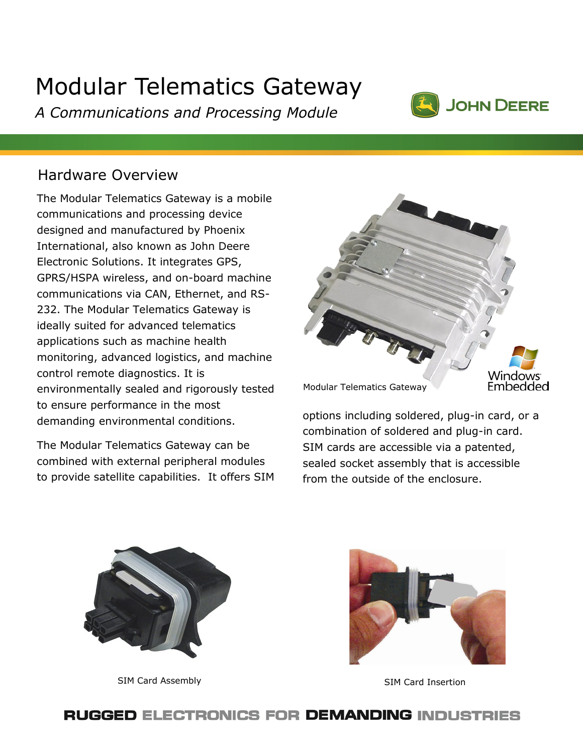# Modular Telematics Gateway

*A Communications and Processing Module*



# Hardware Overview

The Modular Telematics Gateway is a mobile communications and processing device designed and manufactured by Phoenix International, also known as John Deere Electronic Solutions. It integrates GPS, GPRS/HSPA wireless, and on-board machine communications via CAN, Ethernet, and RS-232. The Modular Telematics Gateway is ideally suited for advanced telematics applications such as machine health monitoring, advanced logistics, and machine control remote diagnostics. It is environmentally sealed and rigorously tested to ensure performance in the most demanding environmental conditions.

The Modular Telematics Gateway can be combined with external peripheral modules to provide satellite capabilities. It offers SIM



options including soldered, plug-in card, or a combination of soldered and plug-in card. SIM cards are accessible via a patented, sealed socket assembly that is accessible from the outside of the enclosure.



SIM Card Assembly SIM Card Insertion



#### **RUGGED ELECTRONICS FOR DEMANDING INDUSTRIES**